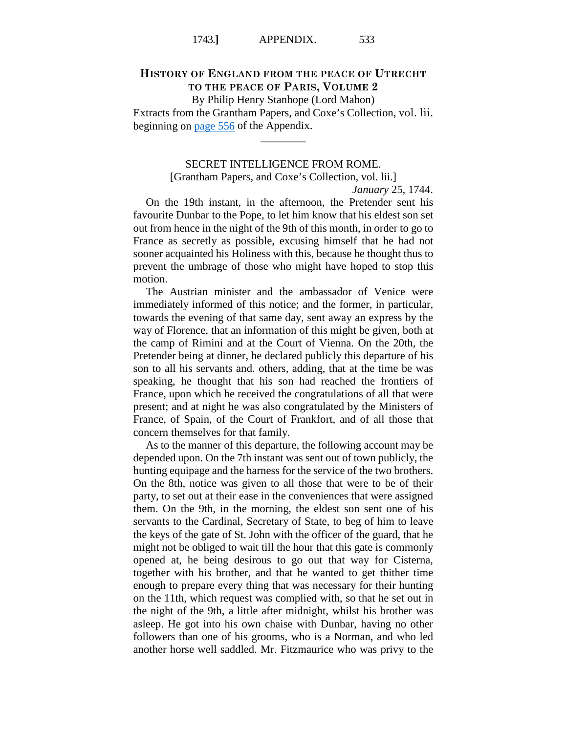## **HISTORY OF ENGLAND FROM THE PEACE OF UTRECHT TO THE PEACE OF PARIS, VOLUME 2**

By Philip Henry Stanhope (Lord Mahon)

Extracts from the Grantham Papers, and Coxe's Collection, vol. lii. beginning on [page 556](http://books.google.com/books?id=McJCAAAAYAAJ&pg=PA556#v=onepage&q&f=false) of the Appendix.

## SECRET INTELLIGENCE FROM ROME.

[Grantham Papers, and Coxe's Collection, vol. lii.]

*January* 25, 1744.

On the 19th instant, in the afternoon, the Pretender sent his favourite Dunbar to the Pope, to let him know that his eldest son set out from hence in the night of the 9th of this month, in order to go to France as secretly as possible, excusing himself that he had not sooner acquainted his Holiness with this, because he thought thus to prevent the umbrage of those who might have hoped to stop this motion.

The Austrian minister and the ambassador of Venice were immediately informed of this notice; and the former, in particular, towards the evening of that same day, sent away an express by the way of Florence, that an information of this might be given, both at the camp of Rimini and at the Court of Vienna. On the 20th, the Pretender being at dinner, he declared publicly this departure of his son to all his servants and. others, adding, that at the time be was speaking, he thought that his son had reached the frontiers of France, upon which he received the congratulations of all that were present; and at night he was also congratulated by the Ministers of France, of Spain, of the Court of Frankfort, and of all those that concern themselves for that family.

As to the manner of this departure, the following account may be depended upon. On the 7th instant was sent out of town publicly, the hunting equipage and the harness for the service of the two brothers. On the 8th, notice was given to all those that were to be of their party, to set out at their ease in the conveniences that were assigned them. On the 9th, in the morning, the eldest son sent one of his servants to the Cardinal, Secretary of State, to beg of him to leave the keys of the gate of St. John with the officer of the guard, that he might not be obliged to wait till the hour that this gate is commonly opened at, he being desirous to go out that way for Cisterna, together with his brother, and that he wanted to get thither time enough to prepare every thing that was necessary for their hunting on the 11th, which request was complied with, so that he set out in the night of the 9th, a little after midnight, whilst his brother was asleep. He got into his own chaise with Dunbar, having no other followers than one of his grooms, who is a Norman, and who led another horse well saddled. Mr. Fitzmaurice who was privy to the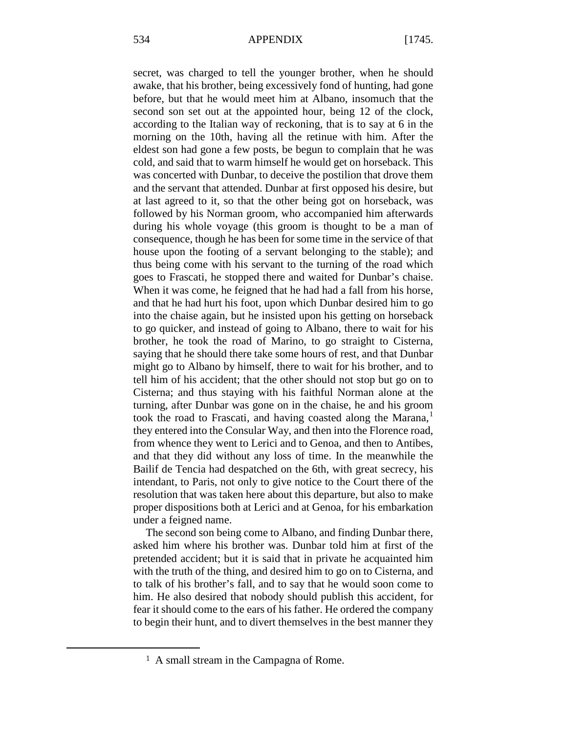534 APPENDIX [1745.]

secret, was charged to tell the younger brother, when he should awake, that his brother, being excessively fond of hunting, had gone before, but that he would meet him at Albano, insomuch that the second son set out at the appointed hour, being 12 of the clock, according to the Italian way of reckoning, that is to say at 6 in the morning on the 10th, having all the retinue with him. After the eldest son had gone a few posts, be begun to complain that he was cold, and said that to warm himself he would get on horseback. This was concerted with Dunbar, to deceive the postilion that drove them and the servant that attended. Dunbar at first opposed his desire, but at last agreed to it, so that the other being got on horseback, was followed by his Norman groom, who accompanied him afterwards during his whole voyage (this groom is thought to be a man of consequence, though he has been for some time in the service of that house upon the footing of a servant belonging to the stable); and thus being come with his servant to the turning of the road which goes to Frascati, he stopped there and waited for Dunbar's chaise. When it was come, he feigned that he had had a fall from his horse, and that he had hurt his foot, upon which Dunbar desired him to go into the chaise again, but he insisted upon his getting on horseback to go quicker, and instead of going to Albano, there to wait for his brother, he took the road of Marino, to go straight to Cisterna, saying that he should there take some hours of rest, and that Dunbar might go to Albano by himself, there to wait for his brother, and to tell him of his accident; that the other should not stop but go on to Cisterna; and thus staying with his faithful Norman alone at the turning, after Dunbar was gone on in the chaise, he and his groom took the road to Frascati, and having coasted along the Marana,<sup>[1](#page-1-0)</sup> they entered into the Consular Way, and then into the Florence road, from whence they went to Lerici and to Genoa, and then to Antibes, and that they did without any loss of time. In the meanwhile the Bailif de Tencia had despatched on the 6th, with great secrecy, his intendant, to Paris, not only to give notice to the Court there of the resolution that was taken here about this departure, but also to make proper dispositions both at Lerici and at Genoa, for his embarkation under a feigned name.

The second son being come to Albano, and finding Dunbar there, asked him where his brother was. Dunbar told him at first of the pretended accident; but it is said that in private he acquainted him with the truth of the thing, and desired him to go on to Cisterna, and to talk of his brother's fall, and to say that he would soon come to him. He also desired that nobody should publish this accident, for fear it should come to the ears of his father. He ordered the company to begin their hunt, and to divert themselves in the best manner they

<span id="page-1-0"></span><sup>&</sup>lt;sup>1</sup> A small stream in the Campagna of Rome.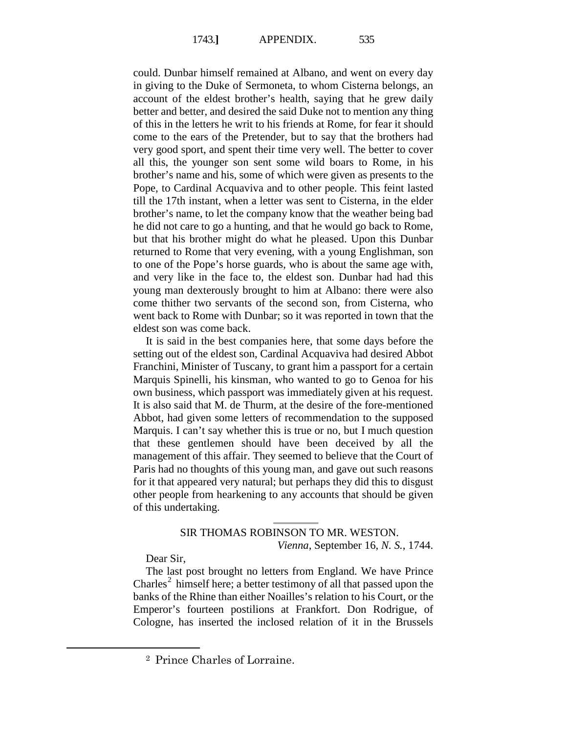could. Dunbar himself remained at Albano, and went on every day in giving to the Duke of Sermoneta, to whom Cisterna belongs, an account of the eldest brother's health, saying that he grew daily better and better, and desired the said Duke not to mention any thing of this in the letters he writ to his friends at Rome, for fear it should come to the ears of the Pretender, but to say that the brothers had very good sport, and spent their time very well. The better to cover all this, the younger son sent some wild boars to Rome, in his brother's name and his, some of which were given as presents to the Pope, to Cardinal Acquaviva and to other people. This feint lasted till the 17th instant, when a letter was sent to Cisterna, in the elder brother's name, to let the company know that the weather being bad he did not care to go a hunting, and that he would go back to Rome, but that his brother might do what he pleased. Upon this Dunbar returned to Rome that very evening, with a young Englishman, son to one of the Pope's horse guards, who is about the same age with, and very like in the face to, the eldest son. Dunbar had had this young man dexterously brought to him at Albano: there were also come thither two servants of the second son, from Cisterna, who went back to Rome with Dunbar; so it was reported in town that the eldest son was come back.

It is said in the best companies here, that some days before the setting out of the eldest son, Cardinal Acquaviva had desired Abbot Franchini, Minister of Tuscany, to grant him a passport for a certain Marquis Spinelli, his kinsman, who wanted to go to Genoa for his own business, which passport was immediately given at his request. It is also said that M. de Thurm, at the desire of the fore-mentioned Abbot, had given some letters of recommendation to the supposed Marquis. I can't say whether this is true or no, but I much question that these gentlemen should have been deceived by all the management of this affair. They seemed to believe that the Court of Paris had no thoughts of this young man, and gave out such reasons for it that appeared very natural; but perhaps they did this to disgust other people from hearkening to any accounts that should be given of this undertaking.

### SIR THOMAS ROBINSON TO MR. WESTON.

*Vienna*, September 16, *N. S.*, 1744.

Dear Sir,

The last post brought no letters from England. We have Prince Charles<sup>[2](#page-2-0)</sup> himself here; a better testimony of all that passed upon the banks of the Rhine than either Noailles's relation to his Court, or the Emperor's fourteen postilions at Frankfort. Don Rodrigue, of Cologne, has inserted the inclosed relation of it in the Brussels

<span id="page-2-0"></span> <sup>2</sup> Prince Charles of Lorraine.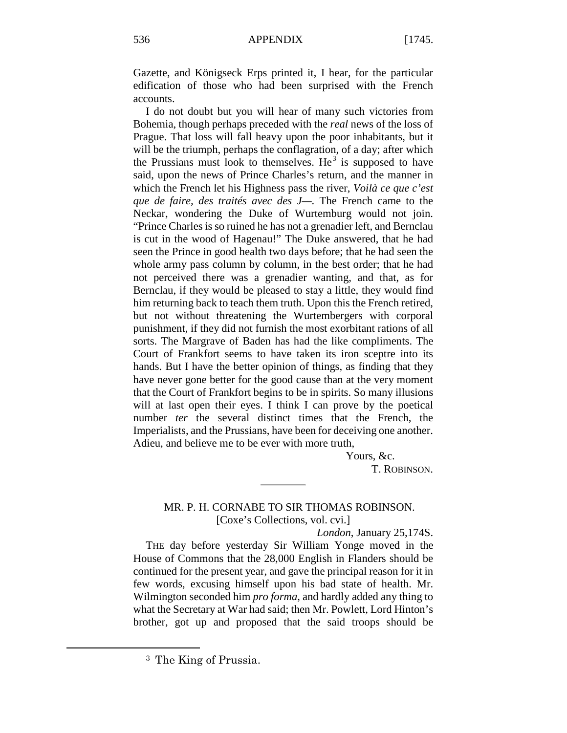Gazette, and Königseck Erps printed it, I hear, for the particular edification of those who had been surprised with the French accounts.

I do not doubt but you will hear of many such victories from Bohemia, though perhaps preceded with the *real* news of the loss of Prague. That loss will fall heavy upon the poor inhabitants, but it will be the triumph, perhaps the conflagration, of a day; after which the Prussians must look to themselves. He<sup>[3](#page-3-0)</sup> is supposed to have said, upon the news of Prince Charles's return, and the manner in which the French let his Highness pass the river, *Voilà ce que c'est que de faire, des traités avec des J—*. The French came to the Neckar, wondering the Duke of Wurtemburg would not join. "Prince Charles is so ruined he has not a grenadier left, and Bernclau is cut in the wood of Hagenau!" The Duke answered, that he had seen the Prince in good health two days before; that he had seen the whole army pass column by column, in the best order; that he had not perceived there was a grenadier wanting, and that, as for Bernclau, if they would be pleased to stay a little, they would find him returning back to teach them truth. Upon this the French retired, but not without threatening the Wurtembergers with corporal punishment, if they did not furnish the most exorbitant rations of all sorts. The Margrave of Baden has had the like compliments. The Court of Frankfort seems to have taken its iron sceptre into its hands. But I have the better opinion of things, as finding that they have never gone better for the good cause than at the very moment that the Court of Frankfort begins to be in spirits. So many illusions will at last open their eyes. I think I can prove by the poetical number *ter* the several distinct times that the French, the Imperialists, and the Prussians, have been for deceiving one another. Adieu, and believe me to be ever with more truth,

Yours, &c.

T. ROBINSON.

### MR. P. H. CORNABE TO SIR THOMAS ROBINSON. [Coxe's Collections, vol. cvi.]

*London*, January 25,174S.

THE day before yesterday Sir William Yonge moved in the House of Commons that the 28,000 English in Flanders should be continued for the present year, and gave the principal reason for it in few words, excusing himself upon his bad state of health. Mr. Wilmington seconded him *pro forma*, and hardly added any thing to what the Secretary at War had said; then Mr. Powlett, Lord Hinton's brother, got up and proposed that the said troops should be

<span id="page-3-0"></span> <sup>3</sup> The King of Prussia.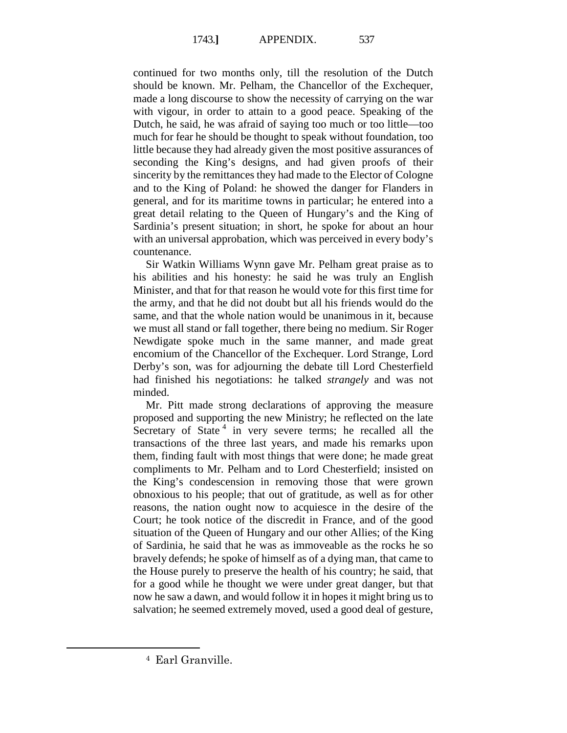continued for two months only, till the resolution of the Dutch should be known. Mr. Pelham, the Chancellor of the Exchequer, made a long discourse to show the necessity of carrying on the war with vigour, in order to attain to a good peace. Speaking of the Dutch, he said, he was afraid of saying too much or too little—too much for fear he should be thought to speak without foundation, too little because they had already given the most positive assurances of seconding the King's designs, and had given proofs of their sincerity by the remittances they had made to the Elector of Cologne and to the King of Poland: he showed the danger for Flanders in general, and for its maritime towns in particular; he entered into a great detail relating to the Queen of Hungary's and the King of Sardinia's present situation; in short, he spoke for about an hour with an universal approbation, which was perceived in every body's countenance.

Sir Watkin Williams Wynn gave Mr. Pelham great praise as to his abilities and his honesty: he said he was truly an English Minister, and that for that reason he would vote for this first time for the army, and that he did not doubt but all his friends would do the same, and that the whole nation would be unanimous in it, because we must all stand or fall together, there being no medium. Sir Roger Newdigate spoke much in the same manner, and made great encomium of the Chancellor of the Exchequer. Lord Strange, Lord Derby's son, was for adjourning the debate till Lord Chesterfield had finished his negotiations: he talked *strangely* and was not minded.

Mr. Pitt made strong declarations of approving the measure proposed and supporting the new Ministry; he reflected on the late Secretary of State<sup>[4](#page-4-0)</sup> in very severe terms; he recalled all the transactions of the three last years, and made his remarks upon them, finding fault with most things that were done; he made great compliments to Mr. Pelham and to Lord Chesterfield; insisted on the King's condescension in removing those that were grown obnoxious to his people; that out of gratitude, as well as for other reasons, the nation ought now to acquiesce in the desire of the Court; he took notice of the discredit in France, and of the good situation of the Queen of Hungary and our other Allies; of the King of Sardinia, he said that he was as immoveable as the rocks he so bravely defends; he spoke of himself as of a dying man, that came to the House purely to preserve the health of his country; he said, that for a good while he thought we were under great danger, but that now he saw a dawn, and would follow it in hopes it might bring us to salvation; he seemed extremely moved, used a good deal of gesture,

<span id="page-4-0"></span> <sup>4</sup> Earl Granville.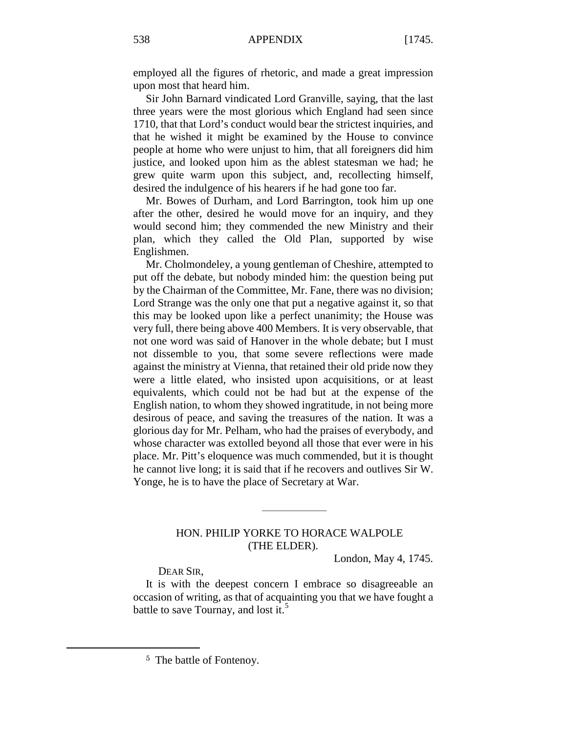employed all the figures of rhetoric, and made a great impression upon most that heard him.

Sir John Barnard vindicated Lord Granville, saying, that the last three years were the most glorious which England had seen since 1710, that that Lord's conduct would bear the strictest inquiries, and that he wished it might be examined by the House to convince people at home who were unjust to him, that all foreigners did him justice, and looked upon him as the ablest statesman we had; he grew quite warm upon this subject, and, recollecting himself, desired the indulgence of his hearers if he had gone too far.

Mr. Bowes of Durham, and Lord Barrington, took him up one after the other, desired he would move for an inquiry, and they would second him; they commended the new Ministry and their plan, which they called the Old Plan, supported by wise Englishmen.

Mr. Cholmondeley, a young gentleman of Cheshire, attempted to put off the debate, but nobody minded him: the question being put by the Chairman of the Committee, Mr. Fane, there was no division; Lord Strange was the only one that put a negative against it, so that this may be looked upon like a perfect unanimity; the House was very full, there being above 400 Members. It is very observable, that not one word was said of Hanover in the whole debate; but I must not dissemble to you, that some severe reflections were made against the ministry at Vienna, that retained their old pride now they were a little elated, who insisted upon acquisitions, or at least equivalents, which could not be had but at the expense of the English nation, to whom they showed ingratitude, in not being more desirous of peace, and saving the treasures of the nation. It was a glorious day for Mr. Pelham, who had the praises of everybody, and whose character was extolled beyond all those that ever were in his place. Mr. Pitt's eloquence was much commended, but it is thought he cannot live long; it is said that if he recovers and outlives Sir W. Yonge, he is to have the place of Secretary at War.

### HON. PHILIP YORKE TO HORACE WALPOLE (THE ELDER).

London, May 4, 1745.

DEAR SIR,

It is with the deepest concern I embrace so disagreeable an occasion of writing, as that of acquainting you that we have fought a battle to save Tournay, and lost it.<sup>[5](#page-5-0)</sup>

<span id="page-5-0"></span> <sup>5</sup> The battle of Fontenoy.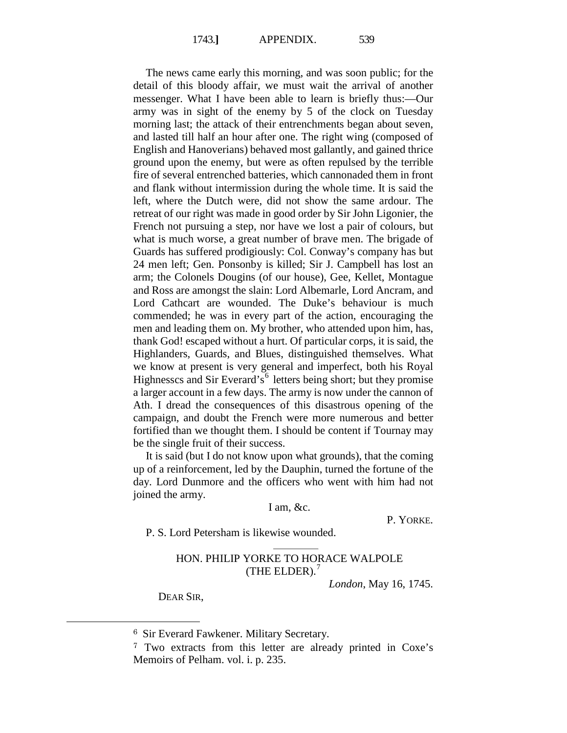The news came early this morning, and was soon public; for the detail of this bloody affair, we must wait the arrival of another messenger. What I have been able to learn is briefly thus:—Our army was in sight of the enemy by 5 of the clock on Tuesday morning last; the attack of their entrenchments began about seven, and lasted till half an hour after one. The right wing (composed of English and Hanoverians) behaved most gallantly, and gained thrice ground upon the enemy, but were as often repulsed by the terrible fire of several entrenched batteries, which cannonaded them in front and flank without intermission during the whole time. It is said the left, where the Dutch were, did not show the same ardour. The retreat of our right was made in good order by Sir John Ligonier, the French not pursuing a step, nor have we lost a pair of colours, but what is much worse, a great number of brave men. The brigade of Guards has suffered prodigiously: Col. Conway's company has but 24 men left; Gen. Ponsonby is killed; Sir J. Campbell has lost an arm; the Colonels Dougins (of our house), Gee, Kellet, Montague and Ross are amongst the slain: Lord Albemarle, Lord Ancram, and Lord Cathcart are wounded. The Duke's behaviour is much commended; he was in every part of the action, encouraging the men and leading them on. My brother, who attended upon him, has, thank God! escaped without a hurt. Of particular corps, it is said, the Highlanders, Guards, and Blues, distinguished themselves. What we know at present is very general and imperfect, both his Royal Highnesscs and Sir Everard's<sup>[6](#page-6-0)</sup> letters being short; but they promise a larger account in a few days. The army is now under the cannon of Ath. I dread the consequences of this disastrous opening of the campaign, and doubt the French were more numerous and better fortified than we thought them. I should be content if Tournay may be the single fruit of their success.

It is said (but I do not know upon what grounds), that the coming up of a reinforcement, led by the Dauphin, turned the fortune of the day. Lord Dunmore and the officers who went with him had not joined the army.

I am,  $&c.$ 

P. YORKE.

P. S. Lord Petersham is likewise wounded.

### HON. PHILIP YORKE TO HORACE WALPOLE (THE ELDER). $<sup>7</sup>$  $<sup>7</sup>$  $<sup>7</sup>$ </sup>

*London*, May 16, 1745.

DEAR SIR,

<span id="page-6-1"></span><span id="page-6-0"></span> <sup>6</sup> Sir Everard Fawkener. Military Secretary.

<sup>7</sup> Two extracts from this letter are already printed in Coxe's Memoirs of Pelham. vol. i. p. 235.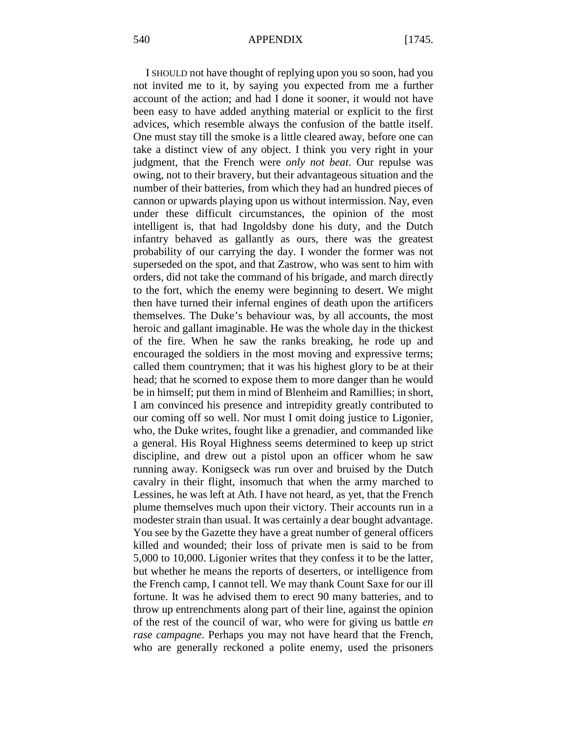540 APPENDIX [1745.]

I SHOULD not have thought of replying upon you so soon, had you not invited me to it, by saying you expected from me a further account of the action; and had I done it sooner, it would not have been easy to have added anything material or explicit to the first advices, which resemble always the confusion of the battle itself. One must stay till the smoke is a little cleared away, before one can take a distinct view of any object. I think you very right in your judgment, that the French were *only not beat*. Our repulse was owing, not to their bravery, but their advantageous situation and the number of their batteries, from which they had an hundred pieces of cannon or upwards playing upon us without intermission. Nay, even under these difficult circumstances, the opinion of the most intelligent is, that had Ingoldsby done his duty, and the Dutch infantry behaved as gallantly as ours, there was the greatest probability of our carrying the day. I wonder the former was not superseded on the spot, and that Zastrow, who was sent to him with orders, did not take the command of his brigade, and march directly to the fort, which the enemy were beginning to desert. We might then have turned their infernal engines of death upon the artificers themselves. The Duke's behaviour was, by all accounts, the most heroic and gallant imaginable. He was the whole day in the thickest of the fire. When he saw the ranks breaking, he rode up and encouraged the soldiers in the most moving and expressive terms; called them countrymen; that it was his highest glory to be at their head; that he scorned to expose them to more danger than he would be in himself; put them in mind of Blenheim and Ramillies; in short, I am convinced his presence and intrepidity greatly contributed to our coming off so well. Nor must I omit doing justice to Ligonier, who, the Duke writes, fought like a grenadier, and commanded like a general. His Royal Highness seems determined to keep up strict discipline, and drew out a pistol upon an officer whom he saw running away. Konigseck was run over and bruised by the Dutch cavalry in their flight, insomuch that when the army marched to Lessines, he was left at Ath. I have not heard, as yet, that the French plume themselves much upon their victory. Their accounts run in a modester strain than usual. It was certainly a dear bought advantage. You see by the Gazette they have a great number of general officers killed and wounded; their loss of private men is said to be from 5,000 to 10,000. Ligonier writes that they confess it to be the latter, but whether he means the reports of deserters, or intelligence from the French camp, I cannot tell. We may thank Count Saxe for our ill fortune. It was he advised them to erect 90 many batteries, and to throw up entrenchments along part of their line, against the opinion of the rest of the council of war, who were for giving us battle *en rase campagne*. Perhaps you may not have heard that the French, who are generally reckoned a polite enemy, used the prisoners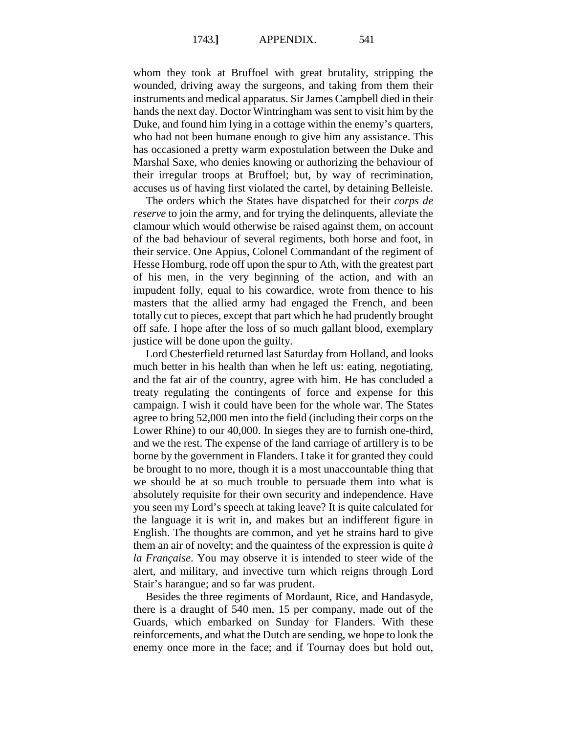whom they took at Bruffoel with great brutality, stripping the wounded, driving away the surgeons, and taking from them their instruments and medical apparatus. Sir James Campbell died in their hands the next day. Doctor Wintringham was sent to visit him by the Duke, and found him lying in a cottage within the enemy's quarters, who had not been humane enough to give him any assistance. This has occasioned a pretty warm expostulation between the Duke and Marshal Saxe, who denies knowing or authorizing the behaviour of their irregular troops at Bruffoel; but, by way of recrimination, accuses us of having first violated the cartel, by detaining Belleisle.

The orders which the States have dispatched for their *corps de reserve* to join the army, and for trying the delinquents, alleviate the clamour which would otherwise be raised against them, on account of the bad behaviour of several regiments, both horse and foot, in their service. One Appius, Colonel Commandant of the regiment of Hesse Homburg, rode off upon the spur to Ath, with the greatest part of his men, in the very beginning of the action, and with an impudent folly, equal to his cowardice, wrote from thence to his masters that the allied army had engaged the French, and been totally cut to pieces, except that part which he had prudently brought off safe. I hope after the loss of so much gallant blood, exemplary justice will be done upon the guilty.

Lord Chesterfield returned last Saturday from Holland, and looks much better in his health than when he left us: eating, negotiating, and the fat air of the country, agree with him. He has concluded a treaty regulating the contingents of force and expense for this campaign. I wish it could have been for the whole war. The States agree to bring 52,000 men into the field (including their corps on the Lower Rhine) to our 40,000. In sieges they are to furnish one-third, and we the rest. The expense of the land carriage of artillery is to be borne by the government in Flanders. I take it for granted they could be brought to no more, though it is a most unaccountable thing that we should be at so much trouble to persuade them into what is absolutely requisite for their own security and independence. Have you seen my Lord's speech at taking leave? It is quite calculated for the language it is writ in, and makes but an indifferent figure in English. The thoughts are common, and yet he strains hard to give them an air of novelty; and the quaintess of the expression is quite *à la Française*. You may observe it is intended to steer wide of the alert, and military, and invective turn which reigns through Lord Stair's harangue; and so far was prudent.

Besides the three regiments of Mordaunt, Rice, and Handasyde, there is a draught of 540 men, 15 per company, made out of the Guards, which embarked on Sunday for Flanders. With these reinforcements, and what the Dutch are sending, we hope to look the enemy once more in the face; and if Tournay does but hold out,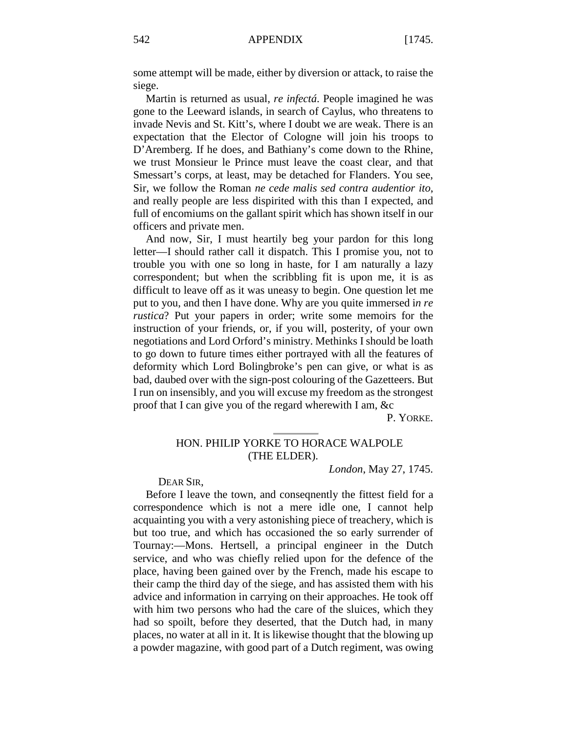some attempt will be made, either by diversion or attack, to raise the siege.

Martin is returned as usual, *re infectá*. People imagined he was gone to the Leeward islands, in search of Caylus, who threatens to invade Nevis and St. Kitt's, where I doubt we are weak. There is an expectation that the Elector of Cologne will join his troops to D'Aremberg. If he does, and Bathiany's come down to the Rhine, we trust Monsieur le Prince must leave the coast clear, and that Smessart's corps, at least, may be detached for Flanders. You see, Sir, we follow the Roman *ne cede malis sed contra audentior ito*, and really people are less dispirited with this than I expected, and full of encomiums on the gallant spirit which has shown itself in our officers and private men.

And now, Sir, I must heartily beg your pardon for this long letter—I should rather call it dispatch. This I promise you, not to trouble you with one so long in haste, for I am naturally a lazy correspondent; but when the scribbling fit is upon me, it is as difficult to leave off as it was uneasy to begin. One question let me put to you, and then I have done. Why are you quite immersed i*n re rustica*? Put your papers in order; write some memoirs for the instruction of your friends, or, if you will, posterity, of your own negotiations and Lord Orford's ministry. Methinks I should be loath to go down to future times either portrayed with all the features of deformity which Lord Bolingbroke's pen can give, or what is as bad, daubed over with the sign-post colouring of the Gazetteers. But I run on insensibly, and you will excuse my freedom as the strongest proof that I can give you of the regard wherewith I am, &c

P. YORKE.

### HON. PHILIP YORKE TO HORACE WALPOLE (THE ELDER).

*London*, May 27, 1745.

DEAR SIR,

Before I leave the town, and conseqnently the fittest field for a correspondence which is not a mere idle one, I cannot help acquainting you with a very astonishing piece of treachery, which is but too true, and which has occasioned the so early surrender of Tournay:—Mons. Hertsell, a principal engineer in the Dutch service, and who was chiefly relied upon for the defence of the place, having been gained over by the French, made his escape to their camp the third day of the siege, and has assisted them with his advice and information in carrying on their approaches. He took off with him two persons who had the care of the sluices, which they had so spoilt, before they deserted, that the Dutch had, in many places, no water at all in it. It is likewise thought that the blowing up a powder magazine, with good part of a Dutch regiment, was owing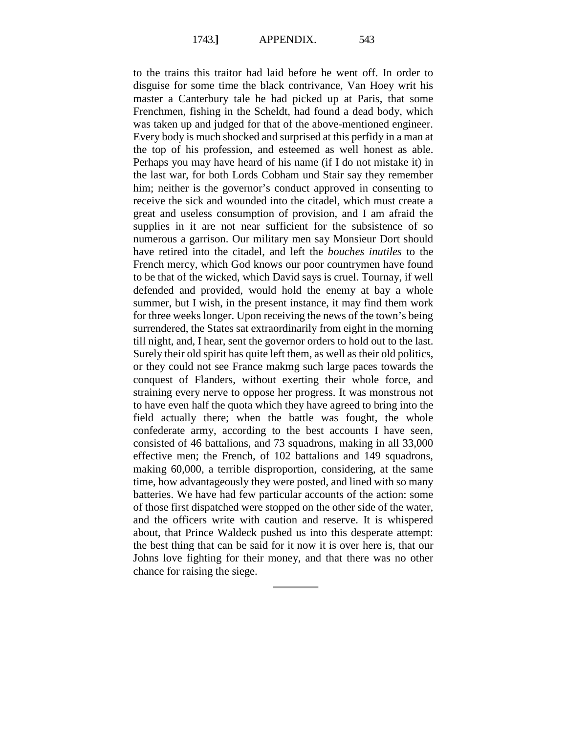to the trains this traitor had laid before he went off. In order to disguise for some time the black contrivance, Van Hoey writ his master a Canterbury tale he had picked up at Paris, that some Frenchmen, fishing in the Scheldt, had found a dead body, which was taken up and judged for that of the above-mentioned engineer. Every body is much shocked and surprised at this perfidy in a man at the top of his profession, and esteemed as well honest as able. Perhaps you may have heard of his name (if I do not mistake it) in the last war, for both Lords Cobham und Stair say they remember him; neither is the governor's conduct approved in consenting to receive the sick and wounded into the citadel, which must create a great and useless consumption of provision, and I am afraid the supplies in it are not near sufficient for the subsistence of so numerous a garrison. Our military men say Monsieur Dort should have retired into the citadel, and left the *bouches inutiles* to the French mercy, which God knows our poor countrymen have found to be that of the wicked, which David says is cruel. Tournay, if well defended and provided, would hold the enemy at bay a whole summer, but I wish, in the present instance, it may find them work for three weeks longer. Upon receiving the news of the town's being surrendered, the States sat extraordinarily from eight in the morning till night, and, I hear, sent the governor orders to hold out to the last. Surely their old spirit has quite left them, as well as their old politics, or they could not see France makmg such large paces towards the conquest of Flanders, without exerting their whole force, and straining every nerve to oppose her progress. It was monstrous not to have even half the quota which they have agreed to bring into the field actually there; when the battle was fought, the whole confederate army, according to the best accounts I have seen, consisted of 46 battalions, and 73 squadrons, making in all 33,000 effective men; the French, of 102 battalions and 149 squadrons, making 60,000, a terrible disproportion, considering, at the same time, how advantageously they were posted, and lined with so many batteries. We have had few particular accounts of the action: some of those first dispatched were stopped on the other side of the water, and the officers write with caution and reserve. It is whispered about, that Prince Waldeck pushed us into this desperate attempt: the best thing that can be said for it now it is over here is, that our Johns love fighting for their money, and that there was no other chance for raising the siege.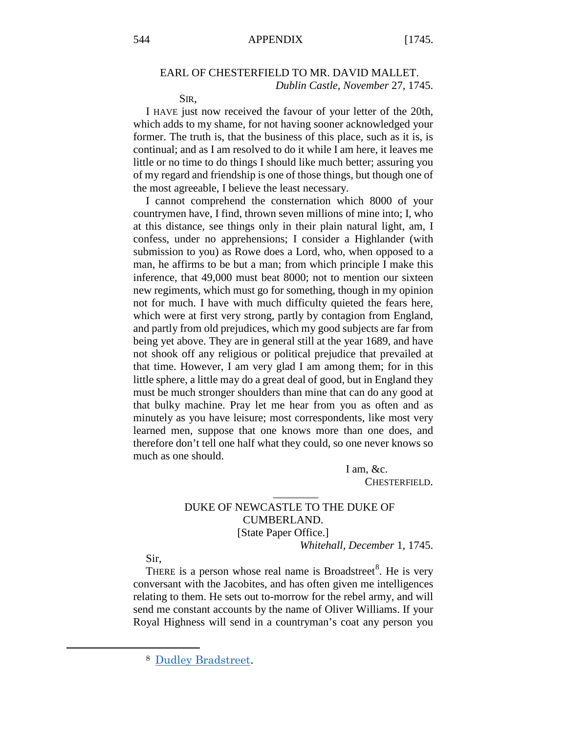## EARL OF CHESTERFIELD TO MR. DAVID MALLET. *Dublin Castle, November* 27, 1745.

#### SIR,

I HAVE just now received the favour of your letter of the 20th, which adds to my shame, for not having sooner acknowledged your former. The truth is, that the business of this place, such as it is, is continual; and as I am resolved to do it while I am here, it leaves me little or no time to do things I should like much better; assuring you of my regard and friendship is one of those things, but though one of the most agreeable, I believe the least necessary.

I cannot comprehend the consternation which 8000 of your countrymen have, I find, thrown seven millions of mine into; I, who at this distance, see things only in their plain natural light, am, I confess, under no apprehensions; I consider a Highlander (with submission to you) as Rowe does a Lord, who, when opposed to a man, he affirms to be but a man; from which principle I make this inference, that 49,000 must beat 8000; not to mention our sixteen new regiments, which must go for something, though in my opinion not for much. I have with much difficulty quieted the fears here, which were at first very strong, partly by contagion from England, and partly from old prejudices, which my good subjects are far from being yet above. They are in general still at the year 1689, and have not shook off any religious or political prejudice that prevailed at that time. However, I am very glad I am among them; for in this little sphere, a little may do a great deal of good, but in England they must be much stronger shoulders than mine that can do any good at that bulky machine. Pray let me hear from you as often and as minutely as you have leisure; most correspondents, like most very learned men, suppose that one knows more than one does, and therefore don't tell one half what they could, so one never knows so much as one should.

> I am, &c. CHESTERFIELD.

### DUKE OF NEWCASTLE TO THE DUKE OF CUMBERLAND.

[State Paper Office.] *Whitehall, December* 1, 1745.

Sir,

THERE is a person whose real name is Broadstreet<sup>[8](#page-11-0)</sup>. He is very conversant with the Jacobites, and has often given me intelligences relating to them. He sets out to-morrow for the rebel army, and will send me constant accounts by the name of Oliver Williams. If your Royal Highness will send in a countryman's coat any person you

<span id="page-11-0"></span> <sup>8</sup> [Dudley Bradstreet.](http://books.google.com/books?id=vrwcAQAAIAAJ&lpg=PA187&ots=qasIAYRIXR&dq=%22Oliver%20Williams%22%20Bradstreet&pg=PA187#v=onepage&q=%22Oliver%20Williams%22%20Bradstreet&f=false)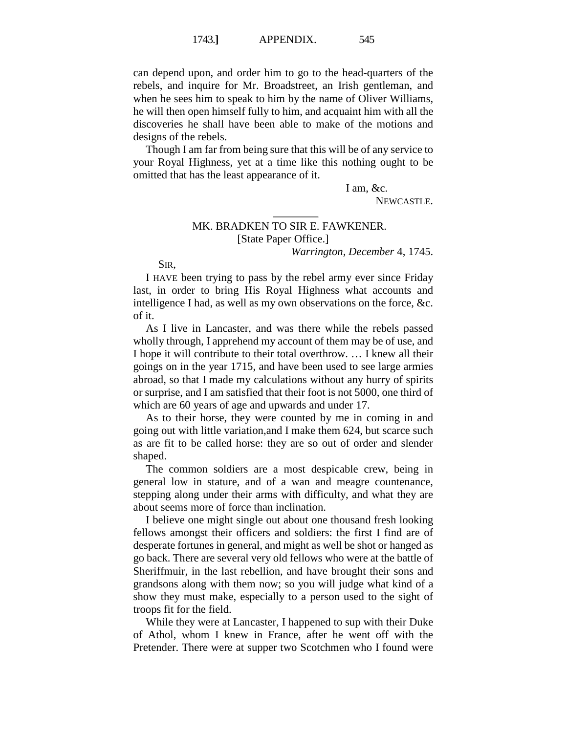can depend upon, and order him to go to the head-quarters of the rebels, and inquire for Mr. Broadstreet, an Irish gentleman, and when he sees him to speak to him by the name of Oliver Williams, he will then open himself fully to him, and acquaint him with all the discoveries he shall have been able to make of the motions and designs of the rebels.

Though I am far from being sure that this will be of any service to your Royal Highness, yet at a time like this nothing ought to be omitted that has the least appearance of it.

I am, &c.

NEWCASTLE.

### MK. BRADKEN TO SIR E. FAWKENER. [State Paper Office.]

*Warrington, December* 4, 1745.

SIR,

I HAVE been trying to pass by the rebel army ever since Friday last, in order to bring His Royal Highness what accounts and intelligence I had, as well as my own observations on the force, &c. of it.

As I live in Lancaster, and was there while the rebels passed wholly through, I apprehend my account of them may be of use, and I hope it will contribute to their total overthrow. … I knew all their goings on in the year 1715, and have been used to see large armies abroad, so that I made my calculations without any hurry of spirits or surprise, and I am satisfied that their foot is not 5000, one third of which are 60 years of age and upwards and under 17.

As to their horse, they were counted by me in coming in and going out with little variation,and I make them 624, but scarce such as are fit to be called horse: they are so out of order and slender shaped.

The common soldiers are a most despicable crew, being in general low in stature, and of a wan and meagre countenance, stepping along under their arms with difficulty, and what they are about seems more of force than inclination.

I believe one might single out about one thousand fresh looking fellows amongst their officers and soldiers: the first I find are of desperate fortunes in general, and might as well be shot or hanged as go back. There are several very old fellows who were at the battle of Sheriffmuir, in the last rebellion, and have brought their sons and grandsons along with them now; so you will judge what kind of a show they must make, especially to a person used to the sight of troops fit for the field.

While they were at Lancaster, I happened to sup with their Duke of Athol, whom I knew in France, after he went off with the Pretender. There were at supper two Scotchmen who I found were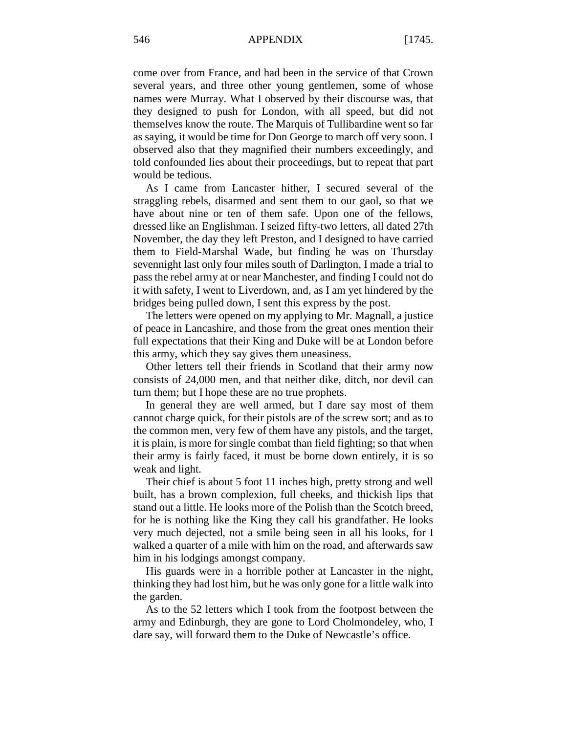#### 546 **APPENDIX** [1745.]

come over from France, and had been in the service of that Crown several years, and three other young gentlemen, some of whose names were Murray. What I observed by their discourse was, that they designed to push for London, with all speed, but did not themselves know the route. The Marquis of Tullibardine went so far as saying, it would be time for Don George to march off very soon. I observed also that they magnified their numbers exceedingly, and told confounded lies about their proceedings, but to repeat that part would be tedious.

As I came from Lancaster hither, I secured several of the straggling rebels, disarmed and sent them to our gaol, so that we have about nine or ten of them safe. Upon one of the fellows, dressed like an Englishman. I seized fifty-two letters, all dated 27th November, the day they left Preston, and I designed to have carried them to Field-Marshal Wade, but finding he was on Thursday sevennight last only four miles south of Darlington, I made a trial to pass the rebel army at or near Manchester, and finding I could not do it with safety, I went to Liverdown, and, as I am yet hindered by the bridges being pulled down, I sent this express by the post.

The letters were opened on my applying to Mr. Magnall, a justice of peace in Lancashire, and those from the great ones mention their full expectations that their King and Duke will be at London before this army, which they say gives them uneasiness.

Other letters tell their friends in Scotland that their army now consists of 24,000 men, and that neither dike, ditch, nor devil can turn them; but I hope these are no true prophets.

In general they are well armed, but I dare say most of them cannot charge quick, for their pistols are of the screw sort; and as to the common men, very few of them have any pistols, and the target, it is plain, is more for single combat than field fighting; so that when their army is fairly faced, it must be borne down entirely, it is so weak and light.

Their chief is about 5 foot 11 inches high, pretty strong and well built, has a brown complexion, full cheeks, and thickish lips that stand out a little. He looks more of the Polish than the Scotch breed, for he is nothing like the King they call his grandfather. He looks very much dejected, not a smile being seen in all his looks, for I walked a quarter of a mile with him on the road, and afterwards saw him in his lodgings amongst company.

His guards were in a horrible pother at Lancaster in the night, thinking they had lost him, but he was only gone for a little walk into the garden.

As to the 52 letters which I took from the footpost between the army and Edinburgh, they are gone to Lord Cholmondeley, who, I dare say, will forward them to the Duke of Newcastle's office.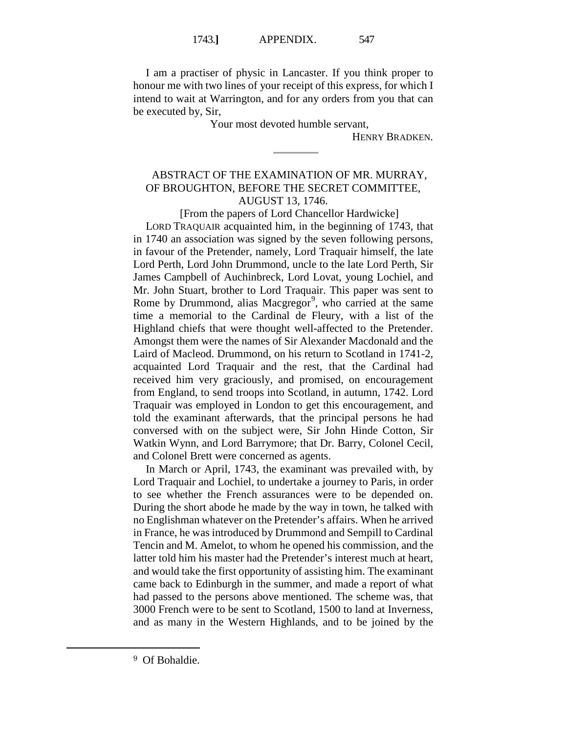I am a practiser of physic in Lancaster. If you think proper to honour me with two lines of your receipt of this express, for which I intend to wait at Warrington, and for any orders from you that can be executed by, Sir,

Your most devoted humble servant,

HENRY BRADKEN.

### ABSTRACT OF THE EXAMINATION OF MR. MURRAY, OF BROUGHTON, BEFORE THE SECRET COMMITTEE, AUGUST 13, 1746.

[From the papers of Lord Chancellor Hardwicke]

LORD TRAQUAIR acquainted him, in the beginning of 1743, that in 1740 an association was signed by the seven following persons, in favour of the Pretender, namely, Lord Traquair himself, the late Lord Perth, Lord John Drummond, uncle to the late Lord Perth, Sir James Campbell of Auchinbreck, Lord Lovat, young Lochiel, and Mr. John Stuart, brother to Lord Traquair. This paper was sent to Rome by Drummond, alias Macgregor<sup>[9](#page-14-0)</sup>, who carried at the same time a memorial to the Cardinal de Fleury, with a list of the Highland chiefs that were thought well-affected to the Pretender. Amongst them were the names of Sir Alexander Macdonald and the Laird of Macleod. Drummond, on his return to Scotland in 1741-2, acquainted Lord Traquair and the rest, that the Cardinal had received him very graciously, and promised, on encouragement from England, to send troops into Scotland, in autumn, 1742. Lord Traquair was employed in London to get this encouragement, and told the examinant afterwards, that the principal persons he had conversed with on the subject were, Sir John Hinde Cotton, Sir Watkin Wynn, and Lord Barrymore; that Dr. Barry, Colonel Cecil, and Colonel Brett were concerned as agents.

In March or April, 1743, the examinant was prevailed with, by Lord Traquair and Lochiel, to undertake a journey to Paris, in order to see whether the French assurances were to be depended on. During the short abode he made by the way in town, he talked with no Englishman whatever on the Pretender's affairs. When he arrived in France, he was introduced by Drummond and Sempill to Cardinal Tencin and M. Amelot, to whom he opened his commission, and the latter told him his master had the Pretender's interest much at heart, and would take the first opportunity of assisting him. The examinant came back to Edinburgh in the summer, and made a report of what had passed to the persons above mentioned. The scheme was, that 3000 French were to be sent to Scotland, 1500 to land at Inverness, and as many in the Western Highlands, and to be joined by the

<span id="page-14-0"></span><sup>&</sup>lt;sup>9</sup> Of Bohaldie.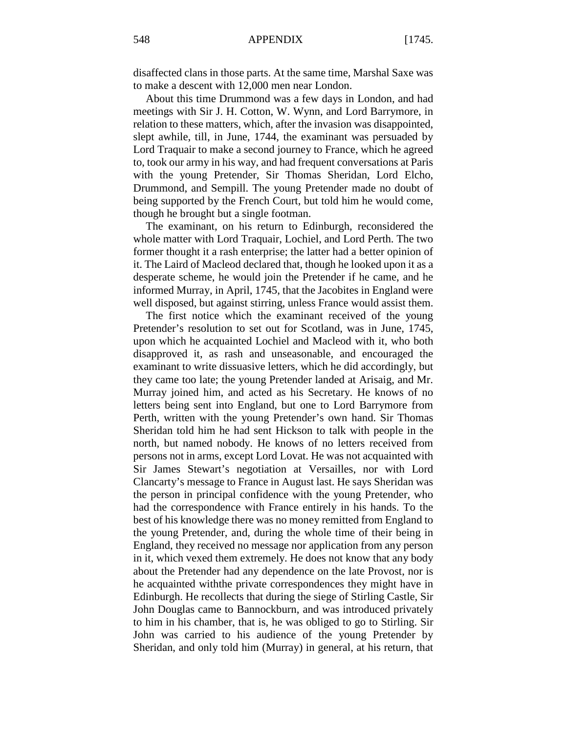disaffected clans in those parts. At the same time, Marshal Saxe was to make a descent with 12,000 men near London.

About this time Drummond was a few days in London, and had meetings with Sir J. H. Cotton, W. Wynn, and Lord Barrymore, in relation to these matters, which, after the invasion was disappointed, slept awhile, till, in June, 1744, the examinant was persuaded by Lord Traquair to make a second journey to France, which he agreed to, took our army in his way, and had frequent conversations at Paris with the young Pretender, Sir Thomas Sheridan, Lord Elcho, Drummond, and Sempill. The young Pretender made no doubt of being supported by the French Court, but told him he would come, though he brought but a single footman.

The examinant, on his return to Edinburgh, reconsidered the whole matter with Lord Traquair, Lochiel, and Lord Perth. The two former thought it a rash enterprise; the latter had a better opinion of it. The Laird of Macleod declared that, though he looked upon it as a desperate scheme, he would join the Pretender if he came, and he informed Murray, in April, 1745, that the Jacobites in England were well disposed, but against stirring, unless France would assist them.

The first notice which the examinant received of the young Pretender's resolution to set out for Scotland, was in June, 1745, upon which he acquainted Lochiel and Macleod with it, who both disapproved it, as rash and unseasonable, and encouraged the examinant to write dissuasive letters, which he did accordingly, but they came too late; the young Pretender landed at Arisaig, and Mr. Murray joined him, and acted as his Secretary. He knows of no letters being sent into England, but one to Lord Barrymore from Perth, written with the young Pretender's own hand. Sir Thomas Sheridan told him he had sent Hickson to talk with people in the north, but named nobody. He knows of no letters received from persons not in arms, except Lord Lovat. He was not acquainted with Sir James Stewart's negotiation at Versailles, nor with Lord Clancarty's message to France in August last. He says Sheridan was the person in principal confidence with the young Pretender, who had the correspondence with France entirely in his hands. To the best of his knowledge there was no money remitted from England to the young Pretender, and, during the whole time of their being in England, they received no message nor application from any person in it, which vexed them extremely. He does not know that any body about the Pretender had any dependence on the late Provost, nor is he acquainted withthe private correspondences they might have in Edinburgh. He recollects that during the siege of Stirling Castle, Sir John Douglas came to Bannockburn, and was introduced privately to him in his chamber, that is, he was obliged to go to Stirling. Sir John was carried to his audience of the young Pretender by Sheridan, and only told him (Murray) in general, at his return, that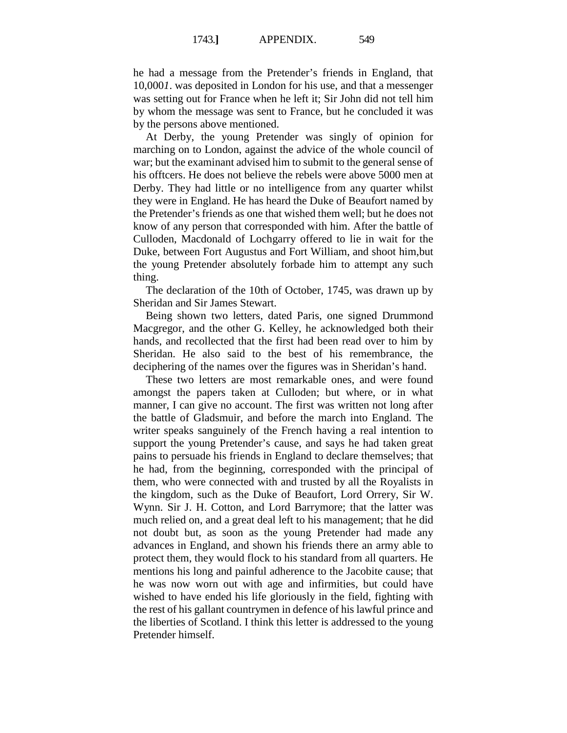he had a message from the Pretender's friends in England, that 10,000*1*. was deposited in London for his use, and that a messenger was setting out for France when he left it; Sir John did not tell him by whom the message was sent to France, but he concluded it was by the persons above mentioned.

At Derby, the young Pretender was singly of opinion for marching on to London, against the advice of the whole council of war; but the examinant advised him to submit to the general sense of his offtcers. He does not believe the rebels were above 5000 men at Derby. They had little or no intelligence from any quarter whilst they were in England. He has heard the Duke of Beaufort named by the Pretender's friends as one that wished them well; but he does not know of any person that corresponded with him. After the battle of Culloden, Macdonald of Lochgarry offered to lie in wait for the Duke, between Fort Augustus and Fort William, and shoot him,but the young Pretender absolutely forbade him to attempt any such thing.

The declaration of the 10th of October, 1745, was drawn up by Sheridan and Sir James Stewart.

Being shown two letters, dated Paris, one signed Drummond Macgregor, and the other G. Kelley, he acknowledged both their hands, and recollected that the first had been read over to him by Sheridan. He also said to the best of his remembrance, the deciphering of the names over the figures was in Sheridan's hand.

These two letters are most remarkable ones, and were found amongst the papers taken at Culloden; but where, or in what manner, I can give no account. The first was written not long after the battle of Gladsmuir, and before the march into England. The writer speaks sanguinely of the French having a real intention to support the young Pretender's cause, and says he had taken great pains to persuade his friends in England to declare themselves; that he had, from the beginning, corresponded with the principal of them, who were connected with and trusted by all the Royalists in the kingdom, such as the Duke of Beaufort, Lord Orrery, Sir W. Wynn. Sir J. H. Cotton, and Lord Barrymore; that the latter was much relied on, and a great deal left to his management; that he did not doubt but, as soon as the young Pretender had made any advances in England, and shown his friends there an army able to protect them, they would flock to his standard from all quarters. He mentions his long and painful adherence to the Jacobite cause; that he was now worn out with age and infirmities, but could have wished to have ended his life gloriously in the field, fighting with the rest of his gallant countrymen in defence of his lawful prince and the liberties of Scotland. I think this letter is addressed to the young Pretender himself.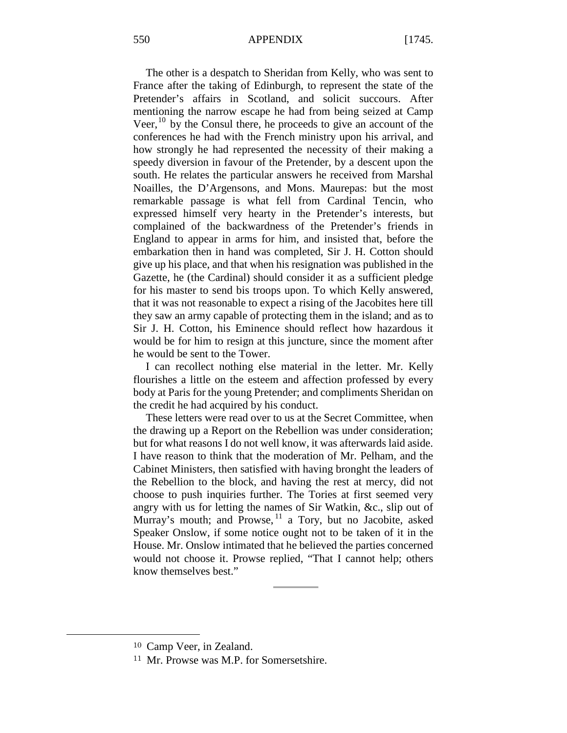550 APPENDIX [1745.

The other is a despatch to Sheridan from Kelly, who was sent to France after the taking of Edinburgh, to represent the state of the Pretender's affairs in Scotland, and solicit succours. After mentioning the narrow escape he had from being seized at Camp Veer,  $^{10}$  $^{10}$  $^{10}$  by the Consul there, he proceeds to give an account of the conferences he had with the French ministry upon his arrival, and how strongly he had represented the necessity of their making a speedy diversion in favour of the Pretender, by a descent upon the south. He relates the particular answers he received from Marshal Noailles, the D'Argensons, and Mons. Maurepas: but the most remarkable passage is what fell from Cardinal Tencin, who expressed himself very hearty in the Pretender's interests, but complained of the backwardness of the Pretender's friends in England to appear in arms for him, and insisted that, before the embarkation then in hand was completed, Sir J. H. Cotton should give up his place, and that when his resignation was published in the Gazette, he (the Cardinal) should consider it as a sufficient pledge for his master to send bis troops upon. To which Kelly answered, that it was not reasonable to expect a rising of the Jacobites here till they saw an army capable of protecting them in the island; and as to Sir J. H. Cotton, his Eminence should reflect how hazardous it would be for him to resign at this juncture, since the moment after he would be sent to the Tower.

I can recollect nothing else material in the letter. Mr. Kelly flourishes a little on the esteem and affection professed by every body at Paris for the young Pretender; and compliments Sheridan on the credit he had acquired by his conduct.

These letters were read over to us at the Secret Committee, when the drawing up a Report on the Rebellion was under consideration; but for what reasons I do not well know, it was afterwards laid aside. I have reason to think that the moderation of Mr. Pelham, and the Cabinet Ministers, then satisfied with having bronght the leaders of the Rebellion to the block, and having the rest at mercy, did not choose to push inquiries further. The Tories at first seemed very angry with us for letting the names of Sir Watkin, &c., slip out of Murray's mouth; and Prowse,  $11$  a Tory, but no Jacobite, asked Speaker Onslow, if some notice ought not to be taken of it in the House. Mr. Onslow intimated that he believed the parties concerned would not choose it. Prowse replied, "That I cannot help; others know themselves best."

<span id="page-17-0"></span> <sup>10</sup> Camp Veer, in Zealand.

<span id="page-17-1"></span><sup>11</sup> Mr. Prowse was M.P. for Somersetshire.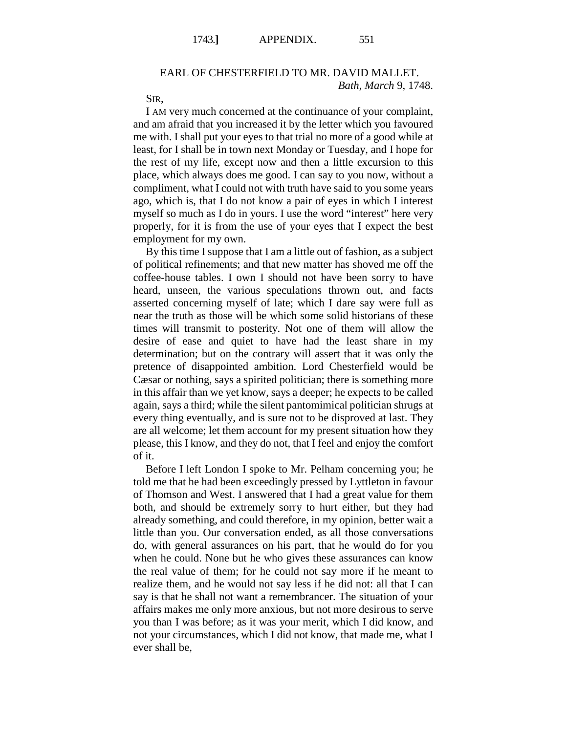### EARL OF CHESTERFIELD TO MR. DAVID MALLET. *Bath, March* 9, 1748.

SIR,

I AM very much concerned at the continuance of your complaint, and am afraid that you increased it by the letter which you favoured me with. I shall put your eyes to that trial no more of a good while at least, for I shall be in town next Monday or Tuesday, and I hope for the rest of my life, except now and then a little excursion to this place, which always does me good. I can say to you now, without a compliment, what I could not with truth have said to you some years ago, which is, that I do not know a pair of eyes in which I interest myself so much as I do in yours. I use the word "interest" here very properly, for it is from the use of your eyes that I expect the best employment for my own.

By this time I suppose that I am a little out of fashion, as a subject of political refinements; and that new matter has shoved me off the coffee-house tables. I own I should not have been sorry to have heard, unseen, the various speculations thrown out, and facts asserted concerning myself of late; which I dare say were full as near the truth as those will be which some solid historians of these times will transmit to posterity. Not one of them will allow the desire of ease and quiet to have had the least share in my determination; but on the contrary will assert that it was only the pretence of disappointed ambition. Lord Chesterfield would be Cæsar or nothing, says a spirited politician; there is something more in this affair than we yet know, says a deeper; he expects to be called again, says a third; while the silent pantomimical politician shrugs at every thing eventually, and is sure not to be disproved at last. They are all welcome; let them account for my present situation how they please, this I know, and they do not, that I feel and enjoy the comfort of it.

Before I left London I spoke to Mr. Pelham concerning you; he told me that he had been exceedingly pressed by Lyttleton in favour of Thomson and West. I answered that I had a great value for them both, and should be extremely sorry to hurt either, but they had already something, and could therefore, in my opinion, better wait a little than you. Our conversation ended, as all those conversations do, with general assurances on his part, that he would do for you when he could. None but he who gives these assurances can know the real value of them; for he could not say more if he meant to realize them, and he would not say less if he did not: all that I can say is that he shall not want a remembrancer. The situation of your affairs makes me only more anxious, but not more desirous to serve you than I was before; as it was your merit, which I did know, and not your circumstances, which I did not know, that made me, what I ever shall be,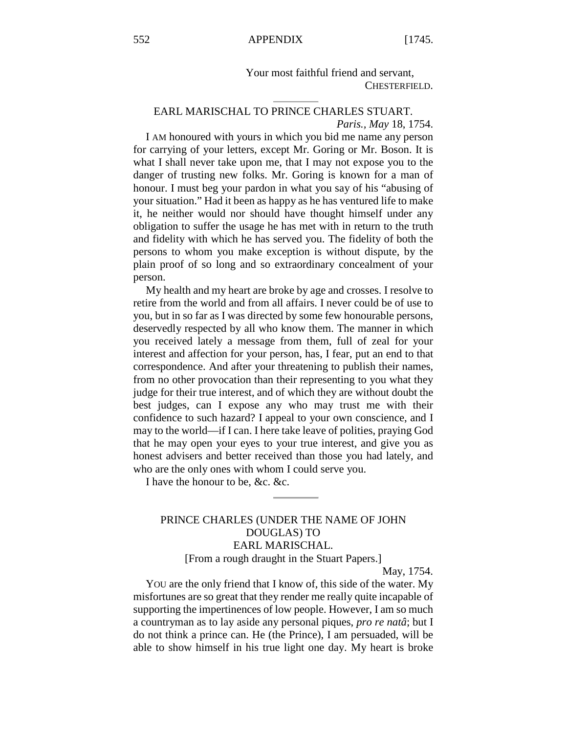Your most faithful friend and servant, CHESTERFIELD.

### EARL MARISCHAL TO PRINCE CHARLES STUART. *Paris., May* 18, 1754.

I AM honoured with yours in which you bid me name any person for carrying of your letters, except Mr. Goring or Mr. Boson. It is what I shall never take upon me, that I may not expose you to the danger of trusting new folks. Mr. Goring is known for a man of honour. I must beg your pardon in what you say of his "abusing of your situation." Had it been as happy as he has ventured life to make it, he neither would nor should have thought himself under any obligation to suffer the usage he has met with in return to the truth and fidelity with which he has served you. The fidelity of both the persons to whom you make exception is without dispute, by the plain proof of so long and so extraordinary concealment of your person.

My health and my heart are broke by age and crosses. I resolve to retire from the world and from all affairs. I never could be of use to you, but in so far as I was directed by some few honourable persons, deservedly respected by all who know them. The manner in which you received lately a message from them, full of zeal for your interest and affection for your person, has, I fear, put an end to that correspondence. And after your threatening to publish their names, from no other provocation than their representing to you what they judge for their true interest, and of which they are without doubt the best judges, can I expose any who may trust me with their confidence to such hazard? I appeal to your own conscience, and I may to the world—if I can. I here take leave of polities, praying God that he may open your eyes to your true interest, and give you as honest advisers and better received than those you had lately, and who are the only ones with whom I could serve you.

I have the honour to be, &c. &c.

# PRINCE CHARLES (UNDER THE NAME OF JOHN DOUGLAS) TO EARL MARISCHAL.

[From a rough draught in the Stuart Papers.]

May, 1754.

You are the only friend that I know of, this side of the water. My misfortunes are so great that they render me really quite incapable of supporting the impertinences of low people. However, I am so much a countryman as to lay aside any personal piques, *pro re natâ*; but I do not think a prince can. He (the Prince), I am persuaded, will be able to show himself in his true light one day. My heart is broke